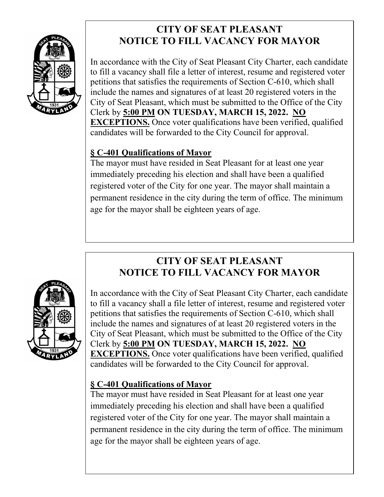

# **CITY OF SEAT PLEASANT NOTICE TO FILL VACANCY FOR MAYOR**

In accordance with the City of Seat Pleasant City Charter, each candidate to fill a vacancy shall file a letter of interest, resume and registered voter petitions that satisfies the requirements of Section C-610, which shall include the names and signatures of at least 20 registered voters in the City of Seat Pleasant, which must be submitted to the Office of the City Clerk by **5:00 PM ON TUESDAY, MARCH 15, 2022. NO EXCEPTIONS.** Once voter qualifications have been verified, qualified candidates will be forwarded to the City Council for approval.

## **§ C-401 Qualifications of Mayor**

The mayor must have resided in Seat Pleasant for at least one year immediately preceding his election and shall have been a qualified registered voter of the City for one year. The mayor shall maintain a permanent residence in the city during the term of office. The minimum age for the mayor shall be eighteen years of age.



## **CITY OF SEAT PLEASANT NOTICE TO FILL VACANCY FOR MAYOR**

In accordance with the City of Seat Pleasant City Charter, each candidate to fill a vacancy shall a file letter of interest, resume and registered voter petitions that satisfies the requirements of Section C-610, which shall include the names and signatures of at least 20 registered voters in the City of Seat Pleasant, which must be submitted to the Office of the City Clerk by **5:00 PM ON TUESDAY, MARCH 15, 2022. NO EXCEPTIONS.** Once voter qualifications have been verified, qualified candidates will be forwarded to the City Council for approval.

## **§ C-401 Qualifications of Mayor**

The mayor must have resided in Seat Pleasant for at least one year immediately preceding his election and shall have been a qualified registered voter of the City for one year. The mayor shall maintain a permanent residence in the city during the term of office. The minimum age for the mayor shall be eighteen years of age.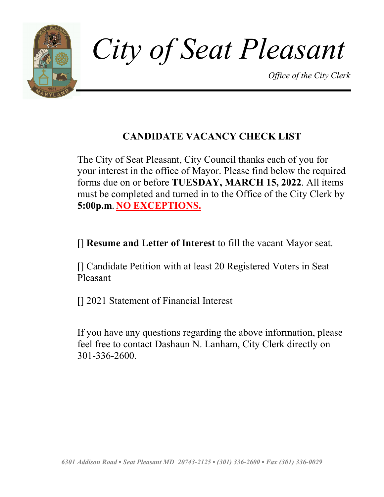

## **CANDIDATE VACANCY CHECK LIST**

The City of Seat Pleasant, City Council thanks each of you for your interest in the office of Mayor. Please find below the required forms due on or before **TUESDAY, MARCH 15, 2022**. All items must be completed and turned in to the Office of the City Clerk by **5:00p.m. NO EXCEPTIONS.**

[] **Resume and Letter of Interest** to fill the vacant Mayor seat.

[] Candidate Petition with at least 20 Registered Voters in Seat Pleasant

[] 2021 Statement of Financial Interest

If you have any questions regarding the above information, please feel free to contact Dashaun N. Lanham, City Clerk directly on 301-336-2600.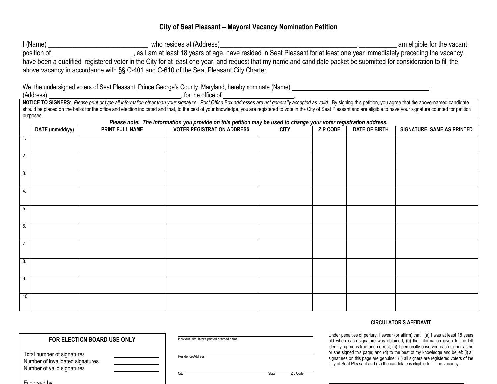### **City of Seat Pleasant – Mayoral Vacancy Nomination Petition**

I (Name) \_\_\_\_\_\_\_\_\_\_\_\_\_\_\_\_\_\_\_\_\_\_\_\_\_\_\_\_\_ who resides at (Address)\_\_\_\_\_\_\_\_\_\_\_\_\_\_\_\_\_\_\_\_\_\_\_\_\_\_\_\_\_\_\_\_\_\_\_\_\_\_\_\_,\_\_\_\_\_\_\_\_\_\_\_ am eligible for the vacant position of \_\_\_\_\_\_\_\_\_\_\_\_\_\_\_\_\_\_\_\_\_\_\_\_\_\_, as I am at least 18 years of age, have resided in Seat Pleasant for at least one year immediately preceding the vacancy, have been a qualified registered voter in the City for at least one year, and request that my name and candidate packet be submitted for consideration to fill the above vacancy in accordance with §§ C-401 and C-610 of the Seat Pleasant City Charter.

We, the undersigned voters of Seat Pleasant, Prince George's County, Maryland, hereby nominate (Name) \_

(Address) , for the office of ,

NOTICE TO SIGNERS: Please print or type all information other than your signature. Post Office Box addresses are not generally accepted as valid. By signing this petition, you agree that the above-named candidate should be placed on the ballot for the office and election indicated and that, to the best of your knowledge, you are registered to vote in the City of Seat Pleasant and are eligible to have your signature counted for peti purposes.

|                  | Please note: The information you provide on this petition may be used to change your voter registration address. |                        |                                   |             |                 |                      |                                   |
|------------------|------------------------------------------------------------------------------------------------------------------|------------------------|-----------------------------------|-------------|-----------------|----------------------|-----------------------------------|
|                  | DATE (mm/dd/yy)                                                                                                  | <b>PRINT FULL NAME</b> | <b>VOTER REGISTRATION ADDRESS</b> | <b>CITY</b> | <b>ZIP CODE</b> | <b>DATE OF BIRTH</b> | <b>SIGNATURE, SAME AS PRINTED</b> |
|                  |                                                                                                                  |                        |                                   |             |                 |                      |                                   |
|                  |                                                                                                                  |                        |                                   |             |                 |                      |                                   |
| $\overline{2}$ . |                                                                                                                  |                        |                                   |             |                 |                      |                                   |
|                  |                                                                                                                  |                        |                                   |             |                 |                      |                                   |
| $\overline{3}$ . |                                                                                                                  |                        |                                   |             |                 |                      |                                   |
| $\overline{4}$ . |                                                                                                                  |                        |                                   |             |                 |                      |                                   |
|                  |                                                                                                                  |                        |                                   |             |                 |                      |                                   |
| 5.               |                                                                                                                  |                        |                                   |             |                 |                      |                                   |
|                  |                                                                                                                  |                        |                                   |             |                 |                      |                                   |
| 6.               |                                                                                                                  |                        |                                   |             |                 |                      |                                   |
|                  |                                                                                                                  |                        |                                   |             |                 |                      |                                   |
| 7.               |                                                                                                                  |                        |                                   |             |                 |                      |                                   |
|                  |                                                                                                                  |                        |                                   |             |                 |                      |                                   |
| 8.               |                                                                                                                  |                        |                                   |             |                 |                      |                                   |
|                  |                                                                                                                  |                        |                                   |             |                 |                      |                                   |
| 9.               |                                                                                                                  |                        |                                   |             |                 |                      |                                   |
|                  |                                                                                                                  |                        |                                   |             |                 |                      |                                   |
| 10.              |                                                                                                                  |                        |                                   |             |                 |                      |                                   |
|                  |                                                                                                                  |                        |                                   |             |                 |                      |                                   |

#### **CIRCULATOR'S AFFIDAVIT**

**FOR ELECTION BOARD USE ONLY**

| Total number of signatures       |  |
|----------------------------------|--|
| Number of invalidated signatures |  |
| Number of valid signatures       |  |
|                                  |  |

Endorsed by:

Individual circulator's printed or typed name

Residence Address

City **State** Zip Code

Under penalties of perjury, I swear (or affirm) that: (a) I was at least 18 years old when each signature was obtained; (b) the information given to the left identifying me is true and correct; (c) I personally observed each signer as he or she signed this page; and (d) to the best of my knowledge and belief: (i) all signatures on this page are genuine; (ii) all signers are registered voters of the City of Seat Pleasant and (iv) the candidate is eligible to fill the vacancy..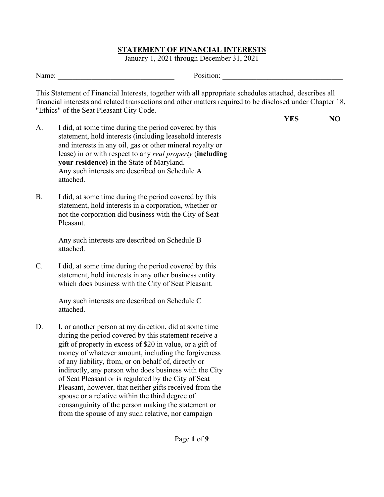January 1, 2021 through December 31, 2021

| <b>T</b><br>Name: | osition. |  |
|-------------------|----------|--|
|                   |          |  |

This Statement of Financial Interests, together with all appropriate schedules attached, describes all financial interests and related transactions and other matters required to be disclosed under Chapter 18, "Ethics" of the Seat Pleasant City Code.

| <b>YES</b> | NO |
|------------|----|
|            |    |

- A. I did, at some time during the period covered by this statement, hold interests (including leasehold interests and interests in any oil, gas or other mineral royalty or lease) in or with respect to any *real property* (**including your residence)** in the State of Maryland. Any such interests are described on Schedule A attached.
- B. I did, at some time during the period covered by this statement, hold interests in a corporation, whether or not the corporation did business with the City of Seat Pleasant.

Any such interests are described on Schedule B attached.

C. I did, at some time during the period covered by this statement, hold interests in any other business entity which does business with the City of Seat Pleasant.

> Any such interests are described on Schedule C attached.

D. I, or another person at my direction, did at some time during the period covered by this statement receive a gift of property in excess of \$20 in value, or a gift of money of whatever amount, including the forgiveness of any liability, from, or on behalf of, directly or indirectly, any person who does business with the City of Seat Pleasant or is regulated by the City of Seat Pleasant, however, that neither gifts received from the spouse or a relative within the third degree of consanguinity of the person making the statement or from the spouse of any such relative, nor campaign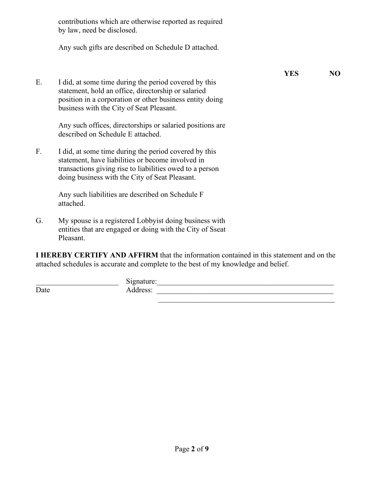|    | contributions which are otherwise reported as required<br>by law, need be disclosed.                                                                                                                                     |            |     |
|----|--------------------------------------------------------------------------------------------------------------------------------------------------------------------------------------------------------------------------|------------|-----|
|    | Any such gifts are described on Schedule D attached.                                                                                                                                                                     |            |     |
| E. | I did, at some time during the period covered by this<br>statement, hold an office, directorship or salaried<br>position in a corporation or other business entity doing<br>business with the City of Seat Pleasant.     | <b>YES</b> | NO. |
|    | Any such offices, directorships or salaried positions are<br>described on Schedule E attached.                                                                                                                           |            |     |
| F. | I did, at some time during the period covered by this<br>statement, have liabilities or become involved in<br>transactions giving rise to liabilities owed to a person<br>doing business with the City of Seat Pleasant. |            |     |
|    | Any such liabilities are described on Schedule F<br>attached.                                                                                                                                                            |            |     |
| G. | My spouse is a registered Lobbyist doing business with<br>entities that are engaged or doing with the City of Sseat<br>Pleasant.                                                                                         |            |     |

**I HEREBY CERTIFY AND AFFIRM** that the information contained in this statement and on the attached schedules is accurate and complete to the best of my knowledge and belief.

|      | Signature:<br>$\bar{}$ |  |
|------|------------------------|--|
| Date | Address:               |  |
|      |                        |  |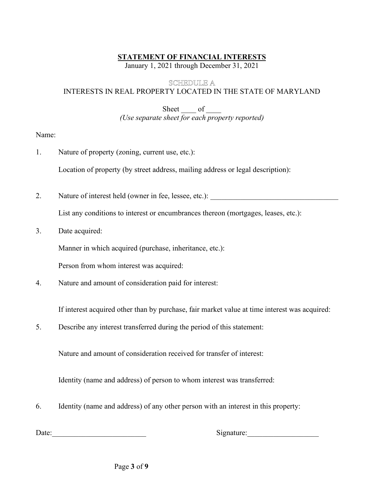January 1, 2021 through December 31, 2021

### SCHEDULE A

INTERESTS IN REAL PROPERTY LOCATED IN THE STATE OF MARYLAND

Sheet  $\_\_$  of  $\_\_$ *(Use separate sheet for each property reported)*

Name:

- 1. Nature of property (zoning, current use, etc.): Location of property (by street address, mailing address or legal description):
- 2. Nature of interest held (owner in fee, lessee, etc.):

List any conditions to interest or encumbrances thereon (mortgages, leases, etc.):

3. Date acquired:

Manner in which acquired (purchase, inheritance, etc.):

Person from whom interest was acquired:

4. Nature and amount of consideration paid for interest:

If interest acquired other than by purchase, fair market value at time interest was acquired:

5. Describe any interest transferred during the period of this statement:

Nature and amount of consideration received for transfer of interest:

Identity (name and address) of person to whom interest was transferred:

6. Identity (name and address) of any other person with an interest in this property:

Date: Signature: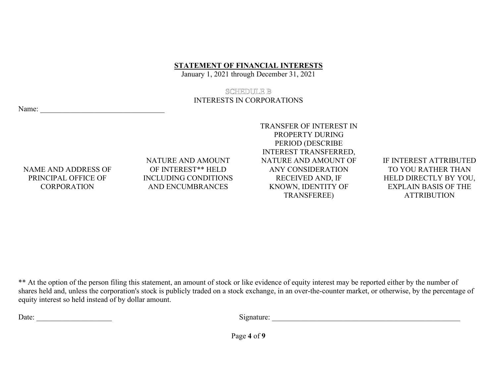January 1, 2021 through December 31, 2021

### SCHEDULE B

## INTERESTS IN CORPORATIONS

Name:

NAME AND ADDRESS OF PRINCIPAL OFFICE OF **CORPORATION** 

NATURE AND AMOUNT OF INTEREST\*\* HELD INCLUDING CONDITIONS AND ENCUMBRANCES

TRANSFER OF INTEREST IN PROPERTY DURING PERIOD (DESCRIBE INTEREST TRANSFERRED, NATURE AND AMOUNT OF ANY CONSIDERATION RECEIVED AND, IF KNOWN, IDENTITY OF TRANSFEREE)

IF INTEREST ATTRIBUTED TO YOU RATHER THAN HELD DIRECTLY BY YOU, EXPLAIN BASIS OF THE ATTRIBUTION

\*\* At the option of the person filing this statement, an amount of stock or like evidence of equity interest may be reported either by the number of shares held and, unless the corporation's stock is publicly traded on a stock exchange, in an over-the-counter market, or otherwise, by the percentage of equity interest so held instead of by dollar amount.

Date: \_\_\_\_\_\_\_\_\_\_\_\_\_\_\_\_\_\_\_\_ Signature: \_\_\_\_\_\_\_\_\_\_\_\_\_\_\_\_\_\_\_\_\_\_\_\_\_\_\_\_\_\_\_\_\_\_\_\_\_\_\_\_\_\_\_\_\_\_\_\_\_\_

Page **4** of **9**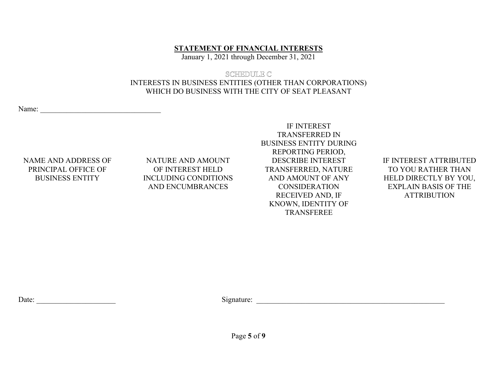January 1, 2021 through December 31, 2021

## SCHEDULE C INTERESTS IN BUSINESS ENTITIES (OTHER THAN CORPORATIONS) WHICH DO BUSINESS WITH THE CITY OF SEAT PLEASANT

Name:

## NAME AND ADDRESS OF PRINCIPAL OFFICE OF BUSINESS ENTITY

## NATURE AND AMOUNT OF INTEREST HELD INCLUDING CONDITIONS AND ENCUMBRANCES

IF INTEREST TRANSFERRED IN BUSINESS ENTITY DURING REPORTING PERIOD, DESCRIBE INTEREST TRANSFERRED, NATURE AND AMOUNT OF ANY **CONSIDERATION** RECEIVED AND, IF KNOWN, IDENTITY OF TRANSFEREE

## IF INTEREST ATTRIBUTED TO YOU RATHER THAN HELD DIRECTLY BY YOU, EXPLAIN BASIS OF THE ATTRIBUTION

Date: \_\_\_\_\_\_\_\_\_\_\_\_\_\_\_\_\_\_\_\_\_ Signature: \_\_\_\_\_\_\_\_\_\_\_\_\_\_\_\_\_\_\_\_\_\_\_\_\_\_\_\_\_\_\_\_\_\_\_\_\_\_\_\_\_\_\_\_\_\_\_\_\_\_

Page **5** of **9**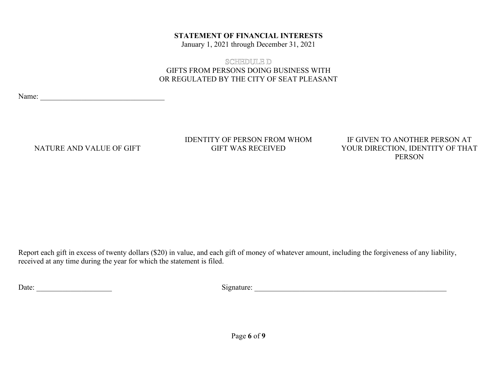January 1, 2021 through December 31, 2021

## SCHEDULE D GIFTS FROM PERSONS DOING BUSINESS WITH OR REGULATED BY THE CITY OF SEAT PLEASANT

Name: \_\_\_\_\_\_\_\_\_\_\_\_\_\_\_\_\_\_\_\_\_\_\_\_\_\_\_\_\_\_\_\_\_

NATURE AND VALUE OF GIFT

IDENTITY OF PERSON FROM WHOM GIFT WAS RECEIVED

IF GIVEN TO ANOTHER PERSON AT YOUR DIRECTION, IDENTITY OF THAT PERSON

Report each gift in excess of twenty dollars (\$20) in value, and each gift of money of whatever amount, including the forgiveness of any liability, received at any time during the year for which the statement is filed.

Date: \_\_\_\_\_\_\_\_\_\_\_\_\_\_\_\_\_\_\_\_ Signature: \_\_\_\_\_\_\_\_\_\_\_\_\_\_\_\_\_\_\_\_\_\_\_\_\_\_\_\_\_\_\_\_\_\_\_\_\_\_\_\_\_\_\_\_\_\_\_\_\_\_\_

Page **6** of **9**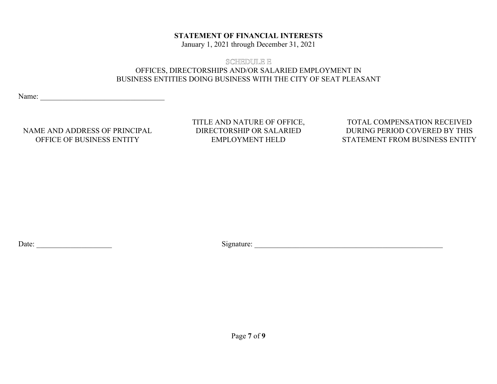January 1, 2021 through December 31, 2021

## SCHEDULE E OFFICES, DIRECTORSHIPS AND/OR SALARIED EMPLOYMENT IN BUSINESS ENTITIES DOING BUSINESS WITH THE CITY OF SEAT PLEASANT

Name: \_\_\_\_\_\_\_\_\_\_\_\_\_\_\_\_\_\_\_\_\_\_\_\_\_\_\_\_\_\_\_\_\_

NAME AND ADDRESS OF PRINCIPAL OFFICE OF BUSINESS ENTITY

TITLE AND NATURE OF OFFICE, DIRECTORSHIP OR SALARIED EMPLOYMENT HELD

TOTAL COMPENSATION RECEIVED DURING PERIOD COVERED BY THIS STATEMENT FROM BUSINESS ENTITY

Date: \_\_\_\_\_\_\_\_\_\_\_\_\_\_\_\_\_\_\_\_ Signature: \_\_\_\_\_\_\_\_\_\_\_\_\_\_\_\_\_\_\_\_\_\_\_\_\_\_\_\_\_\_\_\_\_\_\_\_\_\_\_\_\_\_\_\_\_\_\_\_\_\_

Page **7** of **9**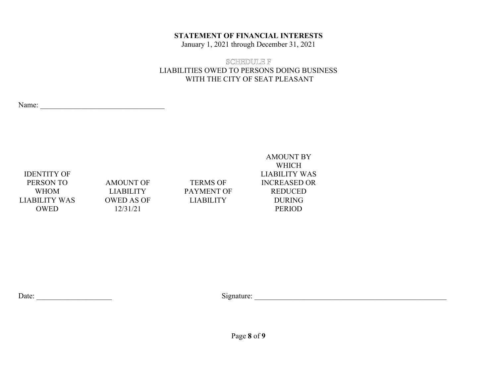January 1, 2021 through December 31, 2021

## SCHEDULE F LIABILITIES OWED TO PERSONS DOING BUSINESS WITH THE CITY OF SEAT PLEASANT

Name:

IDENTITY OF PERSON TO WHOM LIABILITY WAS OWED

AMOUNT OF LIABILITY OWED AS OF 12/31/21

TERMS OF PAYMENT OF LIABILITY

AMOUNT BY WHICH LIABILITY WAS INCREASED OR REDUCED DURING PERIOD

Date: \_\_\_\_\_\_\_\_\_\_\_\_\_\_\_\_\_\_\_\_ Signature: \_\_\_\_\_\_\_\_\_\_\_\_\_\_\_\_\_\_\_\_\_\_\_\_\_\_\_\_\_\_\_\_\_\_\_\_\_\_\_\_\_\_\_\_\_\_\_\_\_\_\_

Page **8** of **9**